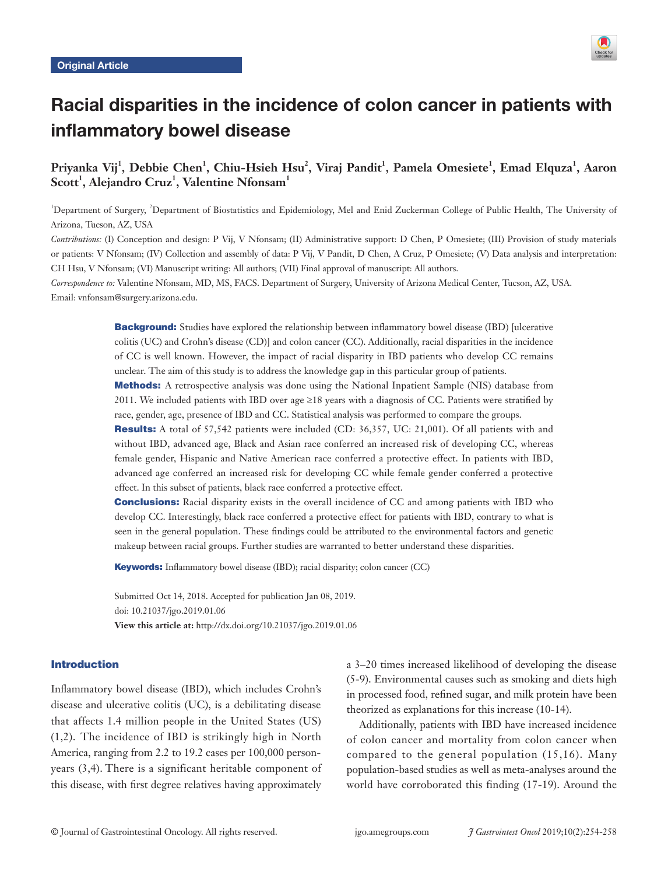

# Racial disparities in the incidence of colon cancer in patients with inflammatory bowel disease

# **Priyanka Vij<sup>1</sup> , Debbie Chen<sup>1</sup> , Chiu-Hsieh Hsu<sup>2</sup> , Viraj Pandit<sup>1</sup> , Pamela Omesiete<sup>1</sup> , Emad Elquza<sup>1</sup> , Aaron**   $Scott<sup>1</sup>$ , Alejandro Cruz<sup>1</sup>, Valentine Nfonsam<sup>1</sup>

<sup>1</sup>Department of Surgery, <sup>2</sup>Department of Biostatistics and Epidemiology, Mel and Enid Zuckerman College of Public Health, The University of Arizona, Tucson, AZ, USA

*Contributions:* (I) Conception and design: P Vij, V Nfonsam; (II) Administrative support: D Chen, P Omesiete; (III) Provision of study materials or patients: V Nfonsam; (IV) Collection and assembly of data: P Vij, V Pandit, D Chen, A Cruz, P Omesiete; (V) Data analysis and interpretation: CH Hsu, V Nfonsam; (VI) Manuscript writing: All authors; (VII) Final approval of manuscript: All authors.

*Correspondence to:* Valentine Nfonsam, MD, MS, FACS. Department of Surgery, University of Arizona Medical Center, Tucson, AZ, USA. Email: vnfonsam@surgery.arizona.edu.

> Background: Studies have explored the relationship between inflammatory bowel disease (IBD) [ulcerative colitis (UC) and Crohn's disease (CD)] and colon cancer (CC). Additionally, racial disparities in the incidence of CC is well known. However, the impact of racial disparity in IBD patients who develop CC remains unclear. The aim of this study is to address the knowledge gap in this particular group of patients.

> Methods: A retrospective analysis was done using the National Inpatient Sample (NIS) database from 2011. We included patients with IBD over age ≥18 years with a diagnosis of CC. Patients were stratified by race, gender, age, presence of IBD and CC. Statistical analysis was performed to compare the groups.

> Results: A total of 57,542 patients were included (CD: 36,357, UC: 21,001). Of all patients with and without IBD, advanced age, Black and Asian race conferred an increased risk of developing CC, whereas female gender, Hispanic and Native American race conferred a protective effect. In patients with IBD, advanced age conferred an increased risk for developing CC while female gender conferred a protective effect. In this subset of patients, black race conferred a protective effect.

> **Conclusions:** Racial disparity exists in the overall incidence of CC and among patients with IBD who develop CC. Interestingly, black race conferred a protective effect for patients with IBD, contrary to what is seen in the general population. These findings could be attributed to the environmental factors and genetic makeup between racial groups. Further studies are warranted to better understand these disparities.

Keywords: Inflammatory bowel disease (IBD); racial disparity; colon cancer (CC)

Submitted Oct 14, 2018. Accepted for publication Jan 08, 2019. doi: 10.21037/jgo.2019.01.06 **View this article at:** http://dx.doi.org/10.21037/jgo.2019.01.06

#### Introduction

Inflammatory bowel disease (IBD), which includes Crohn's disease and ulcerative colitis (UC), is a debilitating disease that affects 1.4 million people in the United States (US) (1,2). The incidence of IBD is strikingly high in North America, ranging from 2.2 to 19.2 cases per 100,000 personyears (3,4). There is a significant heritable component of this disease, with first degree relatives having approximately a 3–20 times increased likelihood of developing the disease (5-9). Environmental causes such as smoking and diets high in processed food, refined sugar, and milk protein have been theorized as explanations for this increase (10-14).

Additionally, patients with IBD have increased incidence of colon cancer and mortality from colon cancer when compared to the general population (15,16). Many population-based studies as well as meta-analyses around the world have corroborated this finding (17-19). Around the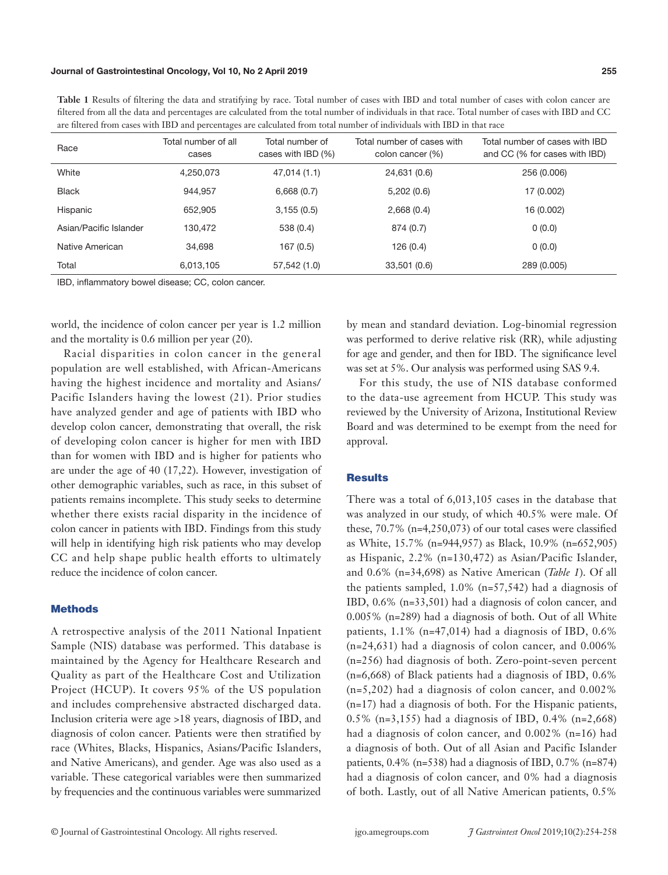#### Journal of Gastrointestinal Oncology, Vol 10, No 2 April 2019 **255**

Table 1 Results of filtering the data and stratifying by race. Total number of cases with IBD and total number of cases with colon cancer are filtered from all the data and percentages are calculated from the total number of individuals in that race. Total number of cases with IBD and CC are filtered from cases with IBD and percentages are calculated from total number of individuals with IBD in that race

| Race                   | Total number of all<br>cases | Total number of<br>cases with $IBD(%)$ | Total number of cases with<br>colon cancer (%) | Total number of cases with IBD<br>and CC (% for cases with IBD) |
|------------------------|------------------------------|----------------------------------------|------------------------------------------------|-----------------------------------------------------------------|
| White                  | 4.250.073                    | 47,014 (1.1)                           | 24,631 (0.6)                                   | 256 (0.006)                                                     |
| <b>Black</b>           | 944.957                      | 6,668(0.7)                             | 5,202(0.6)                                     | 17 (0.002)                                                      |
| Hispanic               | 652.905                      | 3,155(0.5)                             | 2,668(0.4)                                     | 16 (0.002)                                                      |
| Asian/Pacific Islander | 130.472                      | 538(0.4)                               | 874 (0.7)                                      | 0(0.0)                                                          |
| Native American        | 34,698                       | 167(0.5)                               | 126(0.4)                                       | 0(0.0)                                                          |
| Total                  | 6,013,105                    | 57,542 (1.0)                           | 33,501(0.6)                                    | 289 (0.005)                                                     |

IBD, inflammatory bowel disease; CC, colon cancer.

world, the incidence of colon cancer per year is 1.2 million and the mortality is 0.6 million per year (20).

Racial disparities in colon cancer in the general population are well established, with African-Americans having the highest incidence and mortality and Asians/ Pacific Islanders having the lowest (21). Prior studies have analyzed gender and age of patients with IBD who develop colon cancer, demonstrating that overall, the risk of developing colon cancer is higher for men with IBD than for women with IBD and is higher for patients who are under the age of 40 (17,22). However, investigation of other demographic variables, such as race, in this subset of patients remains incomplete. This study seeks to determine whether there exists racial disparity in the incidence of colon cancer in patients with IBD. Findings from this study will help in identifying high risk patients who may develop CC and help shape public health efforts to ultimately reduce the incidence of colon cancer.

#### **Methods**

A retrospective analysis of the 2011 National Inpatient Sample (NIS) database was performed. This database is maintained by the Agency for Healthcare Research and Quality as part of the Healthcare Cost and Utilization Project (HCUP). It covers 95% of the US population and includes comprehensive abstracted discharged data. Inclusion criteria were age >18 years, diagnosis of IBD, and diagnosis of colon cancer. Patients were then stratified by race (Whites, Blacks, Hispanics, Asians/Pacific Islanders, and Native Americans), and gender. Age was also used as a variable. These categorical variables were then summarized by frequencies and the continuous variables were summarized

by mean and standard deviation. Log-binomial regression was performed to derive relative risk (RR), while adjusting for age and gender, and then for IBD. The significance level was set at 5%. Our analysis was performed using SAS 9.4.

For this study, the use of NIS database conformed to the data-use agreement from HCUP. This study was reviewed by the University of Arizona, Institutional Review Board and was determined to be exempt from the need for approval.

### **Results**

There was a total of 6,013,105 cases in the database that was analyzed in our study, of which 40.5% were male. Of these, 70.7% (n=4,250,073) of our total cases were classified as White, 15.7% (n=944,957) as Black, 10.9% (n=652,905) as Hispanic, 2.2% (n=130,472) as Asian/Pacific Islander, and 0.6% (n=34,698) as Native American (*Table 1*). Of all the patients sampled, 1.0% (n=57,542) had a diagnosis of IBD, 0.6% (n=33,501) had a diagnosis of colon cancer, and 0.005% (n=289) had a diagnosis of both. Out of all White patients, 1.1% (n=47,014) had a diagnosis of IBD, 0.6%  $(n=24,631)$  had a diagnosis of colon cancer, and  $0.006\%$ (n=256) had diagnosis of both. Zero-point-seven percent (n=6,668) of Black patients had a diagnosis of IBD, 0.6% (n=5,202) had a diagnosis of colon cancer, and 0.002% (n=17) had a diagnosis of both. For the Hispanic patients, 0.5% (n=3,155) had a diagnosis of IBD, 0.4% (n=2,668) had a diagnosis of colon cancer, and 0.002% (n=16) had a diagnosis of both. Out of all Asian and Pacific Islander patients, 0.4% (n=538) had a diagnosis of IBD, 0.7% (n=874) had a diagnosis of colon cancer, and 0% had a diagnosis of both. Lastly, out of all Native American patients, 0.5%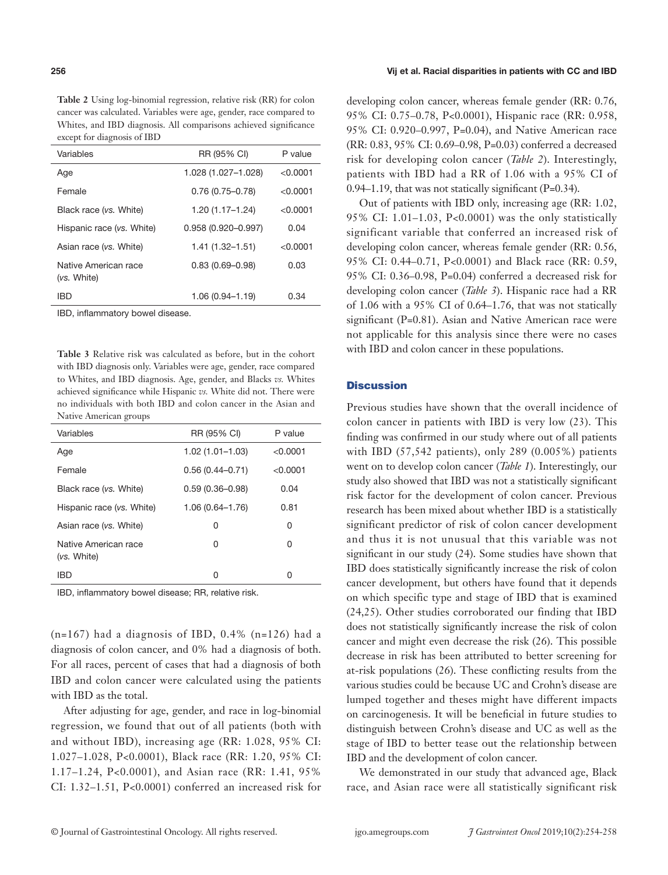**Table 2** Using log-binomial regression, relative risk (RR) for colon cancer was calculated. Variables were age, gender, race compared to Whites, and IBD diagnosis. All comparisons achieved significance except for diagnosis of IBD

| Variables                           | RR (95% CI)            | P value    |
|-------------------------------------|------------------------|------------|
| Age                                 | 1.028 (1.027-1.028)    | < 0.0001   |
| Female                              | $0.76(0.75 - 0.78)$    | < 0.0001   |
| Black race (vs. White)              | 1.20 (1.17–1.24)       | $<$ 0.0001 |
| Hispanic race (vs. White)           | $0.958(0.920 - 0.997)$ | 0.04       |
| Asian race (vs. White)              | $1.41(1.32 - 1.51)$    | < 0.0001   |
| Native American race<br>(vs. White) | $0.83(0.69 - 0.98)$    | 0.03       |
| IBD                                 | $1.06(0.94 - 1.19)$    | 0.34       |

IBD, inflammatory bowel disease.

**Table 3** Relative risk was calculated as before, but in the cohort with IBD diagnosis only. Variables were age, gender, race compared to Whites, and IBD diagnosis. Age, gender, and Blacks *vs.* Whites achieved significance while Hispanic *vs.* White did not. There were no individuals with both IBD and colon cancer in the Asian and Native American groups

| Variables                           | RR (95% CI)         | P value  |
|-------------------------------------|---------------------|----------|
| Age                                 | $1.02(1.01 - 1.03)$ | < 0.0001 |
| Female                              | $0.56(0.44 - 0.71)$ | < 0.0001 |
| Black race (vs. White)              | $0.59(0.36 - 0.98)$ | 0.04     |
| Hispanic race (vs. White)           | $1.06(0.64 - 1.76)$ | 0.81     |
| Asian race (vs. White)              | 0                   | 0        |
| Native American race<br>(vs. White) | 0                   | O        |
| IBD                                 | O                   | U        |

IBD, inflammatory bowel disease; RR, relative risk.

(n=167) had a diagnosis of IBD, 0.4% (n=126) had a diagnosis of colon cancer, and 0% had a diagnosis of both. For all races, percent of cases that had a diagnosis of both IBD and colon cancer were calculated using the patients with IBD as the total.

After adjusting for age, gender, and race in log-binomial regression, we found that out of all patients (both with and without IBD), increasing age (RR: 1.028, 95% CI: 1.027–1.028, P<0.0001), Black race (RR: 1.20, 95% CI: 1.17–1.24, P<0.0001), and Asian race (RR: 1.41, 95% CI: 1.32–1.51, P<0.0001) conferred an increased risk for

#### **256** Vij et al. Racial disparities in patients with CC and IBD

developing colon cancer, whereas female gender (RR: 0.76, 95% CI: 0.75–0.78, P<0.0001), Hispanic race (RR: 0.958, 95% CI: 0.920–0.997, P=0.04), and Native American race (RR: 0.83, 95% CI: 0.69–0.98, P=0.03) conferred a decreased risk for developing colon cancer (*Table 2*). Interestingly, patients with IBD had a RR of 1.06 with a 95% CI of 0.94–1.19, that was not statically significant (P=0.34).

Out of patients with IBD only, increasing age (RR: 1.02, 95% CI: 1.01–1.03, P<0.0001) was the only statistically significant variable that conferred an increased risk of developing colon cancer, whereas female gender (RR: 0.56, 95% CI: 0.44–0.71, P<0.0001) and Black race (RR: 0.59, 95% CI: 0.36–0.98, P=0.04) conferred a decreased risk for developing colon cancer (*Table 3*). Hispanic race had a RR of 1.06 with a 95% CI of 0.64–1.76, that was not statically significant (P=0.81). Asian and Native American race were not applicable for this analysis since there were no cases with IBD and colon cancer in these populations.

### **Discussion**

Previous studies have shown that the overall incidence of colon cancer in patients with IBD is very low (23). This finding was confirmed in our study where out of all patients with IBD (57,542 patients), only 289 (0.005%) patients went on to develop colon cancer (*Table 1*). Interestingly, our study also showed that IBD was not a statistically significant risk factor for the development of colon cancer. Previous research has been mixed about whether IBD is a statistically significant predictor of risk of colon cancer development and thus it is not unusual that this variable was not significant in our study (24). Some studies have shown that IBD does statistically significantly increase the risk of colon cancer development, but others have found that it depends on which specific type and stage of IBD that is examined (24,25). Other studies corroborated our finding that IBD does not statistically significantly increase the risk of colon cancer and might even decrease the risk (26). This possible decrease in risk has been attributed to better screening for at-risk populations (26). These conflicting results from the various studies could be because UC and Crohn's disease are lumped together and theses might have different impacts on carcinogenesis. It will be beneficial in future studies to distinguish between Crohn's disease and UC as well as the stage of IBD to better tease out the relationship between IBD and the development of colon cancer.

We demonstrated in our study that advanced age, Black race, and Asian race were all statistically significant risk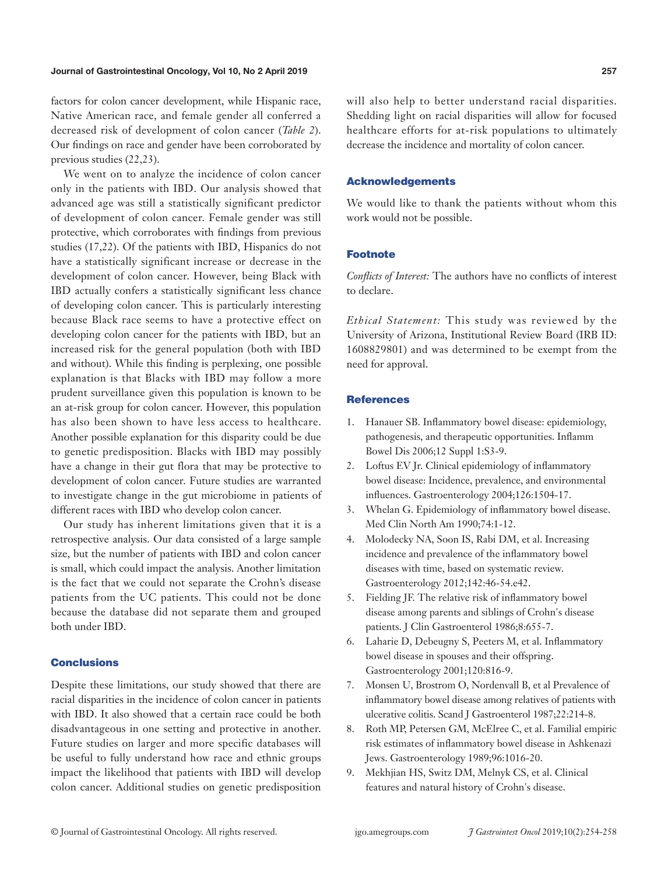#### Journal of Gastrointestinal Oncology, Vol 10, No 2 April 2019 **257**

factors for colon cancer development, while Hispanic race, Native American race, and female gender all conferred a decreased risk of development of colon cancer (*Table 2*). Our findings on race and gender have been corroborated by previous studies (22,23).

We went on to analyze the incidence of colon cancer only in the patients with IBD. Our analysis showed that advanced age was still a statistically significant predictor of development of colon cancer. Female gender was still protective, which corroborates with findings from previous studies (17,22). Of the patients with IBD, Hispanics do not have a statistically significant increase or decrease in the development of colon cancer. However, being Black with IBD actually confers a statistically significant less chance of developing colon cancer. This is particularly interesting because Black race seems to have a protective effect on developing colon cancer for the patients with IBD, but an increased risk for the general population (both with IBD and without). While this finding is perplexing, one possible explanation is that Blacks with IBD may follow a more prudent surveillance given this population is known to be an at-risk group for colon cancer. However, this population has also been shown to have less access to healthcare. Another possible explanation for this disparity could be due to genetic predisposition. Blacks with IBD may possibly have a change in their gut flora that may be protective to development of colon cancer. Future studies are warranted to investigate change in the gut microbiome in patients of different races with IBD who develop colon cancer.

Our study has inherent limitations given that it is a retrospective analysis. Our data consisted of a large sample size, but the number of patients with IBD and colon cancer is small, which could impact the analysis. Another limitation is the fact that we could not separate the Crohn's disease patients from the UC patients. This could not be done because the database did not separate them and grouped both under IBD.

# **Conclusions**

Despite these limitations, our study showed that there are racial disparities in the incidence of colon cancer in patients with IBD. It also showed that a certain race could be both disadvantageous in one setting and protective in another. Future studies on larger and more specific databases will be useful to fully understand how race and ethnic groups impact the likelihood that patients with IBD will develop colon cancer. Additional studies on genetic predisposition

will also help to better understand racial disparities. Shedding light on racial disparities will allow for focused healthcare efforts for at-risk populations to ultimately decrease the incidence and mortality of colon cancer.

# Acknowledgements

We would like to thank the patients without whom this work would not be possible.

# Footnote

*Conflicts of Interest:* The authors have no conflicts of interest to declare.

*Ethical Statement:* This study was reviewed by the University of Arizona, Institutional Review Board (IRB ID: 1608829801) and was determined to be exempt from the need for approval.

#### **References**

- 1. Hanauer SB. Inflammatory bowel disease: epidemiology, pathogenesis, and therapeutic opportunities. Inflamm Bowel Dis 2006;12 Suppl 1:S3-9.
- 2. Loftus EV Jr. Clinical epidemiology of inflammatory bowel disease: Incidence, prevalence, and environmental influences. Gastroenterology 2004;126:1504-17.
- 3. Whelan G. Epidemiology of inflammatory bowel disease. Med Clin North Am 1990;74:1-12.
- 4. Molodecky NA, Soon IS, Rabi DM, et al. Increasing incidence and prevalence of the inflammatory bowel diseases with time, based on systematic review. Gastroenterology 2012;142:46-54.e42.
- 5. Fielding JF. The relative risk of inflammatory bowel disease among parents and siblings of Crohn's disease patients. J Clin Gastroenterol 1986;8:655-7.
- 6. Laharie D, Debeugny S, Peeters M, et al. Inflammatory bowel disease in spouses and their offspring. Gastroenterology 2001;120:816-9.
- 7. Monsen U, Brostrom O, Nordenvall B, et al Prevalence of inflammatory bowel disease among relatives of patients with ulcerative colitis. Scand J Gastroenterol 1987;22:214-8.
- 8. Roth MP, Petersen GM, McElree C, et al. Familial empiric risk estimates of inflammatory bowel disease in Ashkenazi Jews. Gastroenterology 1989;96:1016-20.
- 9. Mekhjian HS, Switz DM, Melnyk CS, et al. Clinical features and natural history of Crohn's disease.